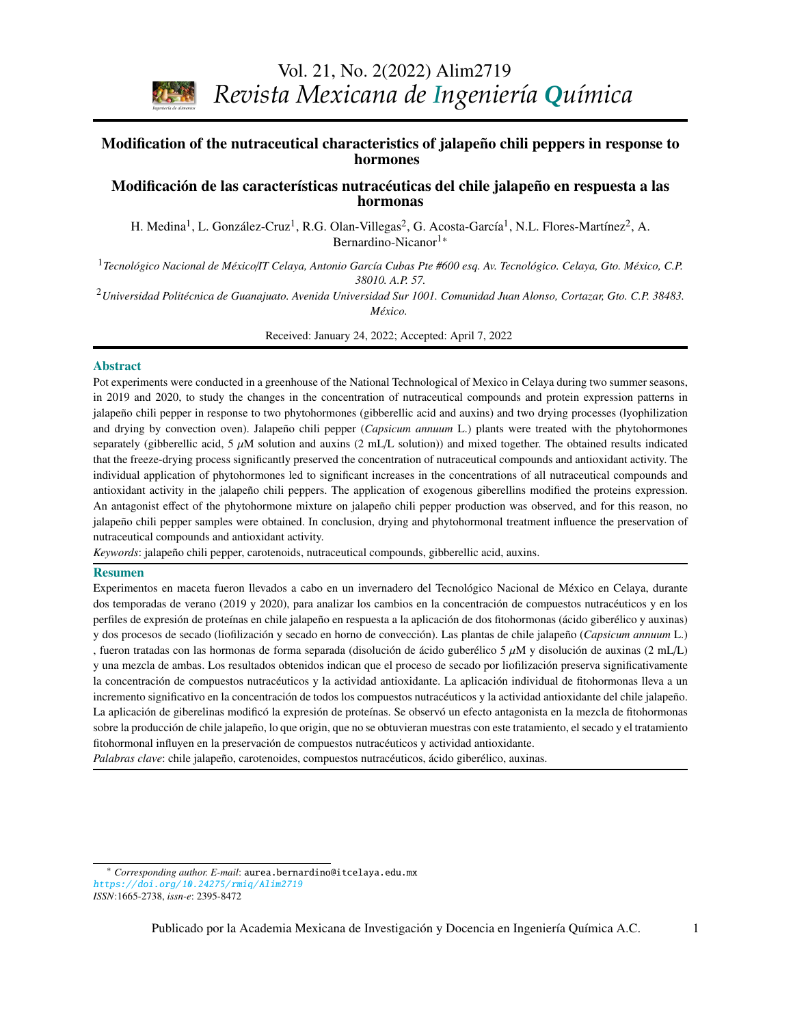Vol. 21, No. 2(2022) Alim2719

*Revista Mexicana de Ingeniería Química*

### **CONTENIDO**  Modification of the nutraceutical characteristics of jalapeño chili peppers in response to **Volumen 8, número 3, 2009 / Volume 8, number 3, 2009** hormones

## Modificación de las características nutracéuticas del chile jalapeño en respuesta a las hormonas

H. Medina<sup>1</sup>, L. González-Cruz<sup>1</sup>, R.G. Olan-Villegas<sup>2</sup>, G. Acosta-García<sup>1</sup>, N.L. Flores-Martínez<sup>2</sup>, A. Bernardino-Nicanor<sup>[1\\*](#page-0-0)</sup>

*Stephen Whitaker* <sup>1</sup>*Tecnológico Nacional de México*/*IT Celaya, Antonio García Cubas Pte #600 esq. Av. Tecnológico. Celaya, Gto. México, C.P. 38010. A.P. 57.*

*Biotecnología / Biotechnology*  <sup>2</sup>*Universidad Politécnica de Guanajuato. Avenida Universidad Sur 1001. Comunidad Juan Alonso, Cortazar, Gto. C.P. 38483. México.*

Received: January 24, 2022; Accepted: April 7, 2022

#### Abstract

*Ingeniería de alimentos* 

Pot experiments were conducted in a greenhouse of the National Technological of Mexico in Celaya during two summer seasons, in 2019 and 2020, to study the changes in the concentration of nutraceutical compounds and protein expression patterns in jalapeño chili pepper in response to two phytohormones (gibberellic acid and auxins) and two drying processes (lyophilization and drying by convection oven). Jalapeño chili pepper (*Capsicum annuum* L.) plants were treated with the phytohormones that the freeze-drying process significantly preserved the concentration of nutraceutical compounds and antioxidant activity. The individual application of phytohormones led to significant increases in the concentrations of all nutraceutical compounds and antioxidant activity in the jalapeño chili peppers. The application of exogenous giberellins modified the proteins expression. *Espinosa*  An antagonist effect of the phytohormone mixture on jalapeño chili pepper production was observed, and for this reason, no nutraceutical compounds and antioxidant activity. separately (gibberellic acid, 5  $\mu$ M solution and auxins (2 mL/L solution)) and mixed together. The obtained results indicated jalapeño chili pepper samples were obtained. In conclusion, drying and phytohormonal treatment influence the preservation of

Keywords: jalapeño chili pepper, carotenoids, nutraceutical compounds, gibberellic acid, auxins.

#### Resumen

resumentos en maceta fueron llevados a cabo en un invernadero del Tecnológico Nacional de México en Celaya, durante<br>Experimentos en maceta fueron llevados a cabo en un invernadero del Tecnológico Nacional de México en Cela dos temporadas de verano (2019 y 2020), para analizar los cambios en la concentración de compuestos nutracéuticos y en los perfiles de expresión de proteínas en chile jalapeño en respuesta a la aplicación de dos fitohormonas (ácido giberélico y auxinas) *Ingeniería de procesos / Process engineering*  , fueron tratadas con las hormonas de forma separada (disolución de ácido guberélico 5 µM y disolución de auxinas (2 mL/L) y una mezcla de ambas. Los resultados obtenidos indican que el proceso de secado por liofilización preserva significativamente incremento significativo en la concentración de todos los compuestos nutracéuticos y la actividad antioxidante del chile jalapeño. La aplicación de giberelinas modificó la expresión de proteínas. Se observó un efecto antagonista en la mezcla de fitohormonas sobre la producción de chile jalapeño, lo que origin, que no se obtuvieran muestras con este tratamiento, el secado y el tratamiento y dos procesos de secado (liofilización y secado en horno de convección). Las plantas de chile jalapeño (*Capsicum annuum* L.) la concentración de compuestos nutracéuticos y la actividad antioxidante. La aplicación individual de fitohormonas lleva a un fitohormonal influyen en la preservación de compuestos nutracéuticos y actividad antioxidante.

*Palabras clave*: chile jalapeño, carotenoides, compuestos nutracéuticos, ácido giberélico, auxinas.

<span id="page-0-0"></span><sup>\*</sup> *Corresponding author. E-mail*: aurea.bernardino@itcelaya.edu.mx <https://doi.org/10.24275/rmiq/Alim2719> *ISSN*:1665-2738, *issn-e*: 2395-8472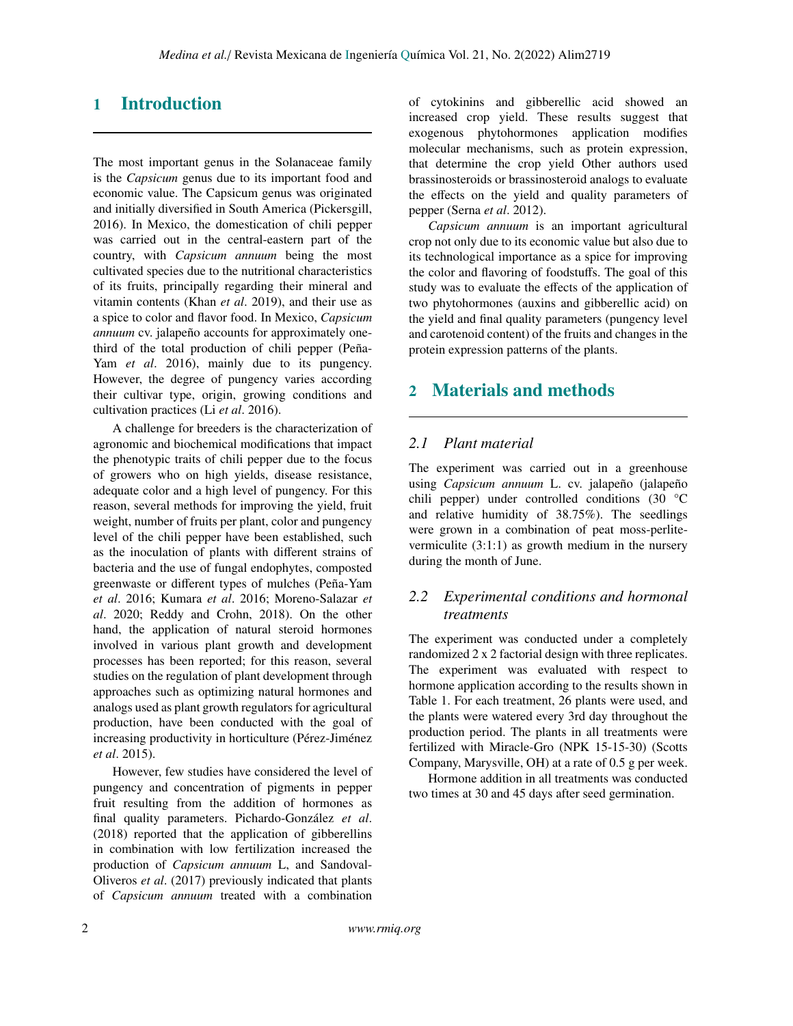# 1 Introduction

The most important genus in the Solanaceae family is the *Capsicum* genus due to its important food and economic value. The Capsicum genus was originated and initially diversified in South America (Pickersgill, 2016). In Mexico, the domestication of chili pepper was carried out in the central-eastern part of the country, with *Capsicum annuum* being the most cultivated species due to the nutritional characteristics of its fruits, principally regarding their mineral and vitamin contents (Khan *et al*. 2019), and their use as a spice to color and flavor food. In Mexico, *Capsicum annuum* cv. jalapeño accounts for approximately onethird of the total production of chili pepper (Peña-Yam *et al.* 2016), mainly due to its pungency. However, the degree of pungency varies according their cultivar type, origin, growing conditions and cultivation practices (Li *et al*. 2016).

A challenge for breeders is the characterization of agronomic and biochemical modifications that impact the phenotypic traits of chili pepper due to the focus of growers who on high yields, disease resistance, adequate color and a high level of pungency. For this reason, several methods for improving the yield, fruit weight, number of fruits per plant, color and pungency level of the chili pepper have been established, such as the inoculation of plants with different strains of bacteria and the use of fungal endophytes, composted greenwaste or different types of mulches (Peña-Yam *et al*. 2016; Kumara *et al*. 2016; Moreno-Salazar *et al*. 2020; Reddy and Crohn, 2018). On the other hand, the application of natural steroid hormones involved in various plant growth and development processes has been reported; for this reason, several studies on the regulation of plant development through approaches such as optimizing natural hormones and analogs used as plant growth regulators for agricultural production, have been conducted with the goal of increasing productivity in horticulture (Pérez-Jiménez *et al*. 2015).

However, few studies have considered the level of pungency and concentration of pigments in pepper fruit resulting from the addition of hormones as final quality parameters. Pichardo-González *et al*. (2018) reported that the application of gibberellins in combination with low fertilization increased the production of *Capsicum annuum* L, and Sandoval-Oliveros *et al*. (2017) previously indicated that plants of *Capsicum annuum* treated with a combination of cytokinins and gibberellic acid showed an increased crop yield. These results suggest that exogenous phytohormones application modifies molecular mechanisms, such as protein expression, that determine the crop yield Other authors used brassinosteroids or brassinosteroid analogs to evaluate the effects on the yield and quality parameters of pepper (Serna *et al*. 2012).

*Capsicum annuum* is an important agricultural crop not only due to its economic value but also due to its technological importance as a spice for improving the color and flavoring of foodstuffs. The goal of this study was to evaluate the effects of the application of two phytohormones (auxins and gibberellic acid) on the yield and final quality parameters (pungency level and carotenoid content) of the fruits and changes in the protein expression patterns of the plants.

## 2 Materials and methods

### *2.1 Plant material*

The experiment was carried out in a greenhouse using *Capsicum annuum* L. cv. jalapeño (jalapeño chili pepper) under controlled conditions (30 °C and relative humidity of 38.75%). The seedlings were grown in a combination of peat moss-perlitevermiculite (3:1:1) as growth medium in the nursery during the month of June.

## *2.2 Experimental conditions and hormonal treatments*

The experiment was conducted under a completely randomized 2 x 2 factorial design with three replicates. The experiment was evaluated with respect to hormone application according to the results shown in Table 1. For each treatment, 26 plants were used, and the plants were watered every 3rd day throughout the production period. The plants in all treatments were fertilized with Miracle-Gro (NPK 15-15-30) (Scotts Company, Marysville, OH) at a rate of 0.5 g per week.

Hormone addition in all treatments was conducted two times at 30 and 45 days after seed germination.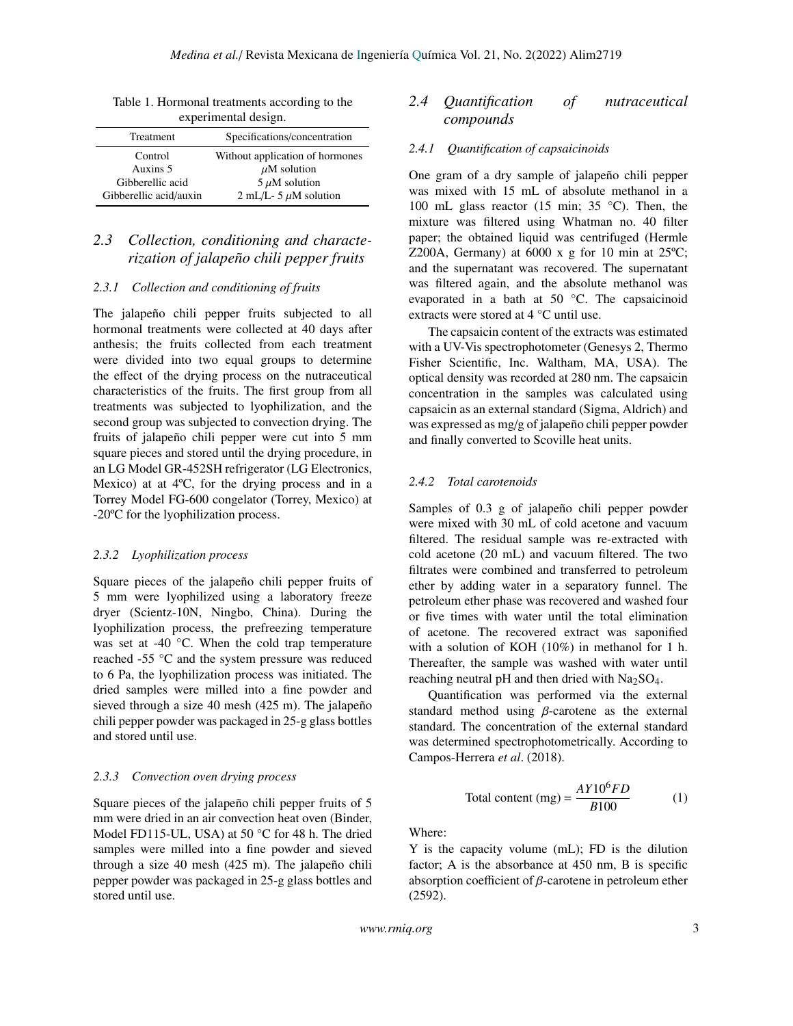| $\ldots$               |                                 |  |  |  |
|------------------------|---------------------------------|--|--|--|
| Treatment              | Specifications/concentration    |  |  |  |
| Control                | Without application of hormones |  |  |  |
| Auxins 5               | $\mu$ M solution                |  |  |  |
| Gibberellic acid       | $5 \mu M$ solution              |  |  |  |
| Gibberellic acid/auxin | 2 mL/L- 5 $\mu$ M solution      |  |  |  |
|                        |                                 |  |  |  |

Table 1. Hormonal treatments according to the experimental design.

## *2.3 Collection, conditioning and characterization of jalapeño chili pepper fruits*

#### *2.3.1 Collection and conditioning of fruits*

The jalapeño chili pepper fruits subjected to all hormonal treatments were collected at 40 days after anthesis; the fruits collected from each treatment were divided into two equal groups to determine the effect of the drying process on the nutraceutical characteristics of the fruits. The first group from all treatments was subjected to lyophilization, and the second group was subjected to convection drying. The fruits of jalapeño chili pepper were cut into 5 mm square pieces and stored until the drying procedure, in an LG Model GR-452SH refrigerator (LG Electronics, Mexico) at at 4ºC, for the drying process and in a Torrey Model FG-600 congelator (Torrey, Mexico) at -20ºC for the lyophilization process.

#### *2.3.2 Lyophilization process*

Square pieces of the jalapeño chili pepper fruits of 5 mm were lyophilized using a laboratory freeze dryer (Scientz-10N, Ningbo, China). During the lyophilization process, the prefreezing temperature was set at -40 °C. When the cold trap temperature reached -55 °C and the system pressure was reduced to 6 Pa, the lyophilization process was initiated. The dried samples were milled into a fine powder and sieved through a size 40 mesh (425 m). The jalapeño chili pepper powder was packaged in 25-g glass bottles and stored until use.

#### *2.3.3 Convection oven drying process*

Square pieces of the jalapeño chili pepper fruits of 5 mm were dried in an air convection heat oven (Binder, Model FD115-UL, USA) at 50 °C for 48 h. The dried samples were milled into a fine powder and sieved through a size 40 mesh (425 m). The jalapeño chili pepper powder was packaged in 25-g glass bottles and stored until use.

## *2.4 Quantification of nutraceutical compounds*

### *2.4.1 Quantification of capsaicinoids*

One gram of a dry sample of jalapeño chili pepper was mixed with 15 mL of absolute methanol in a 100 mL glass reactor (15 min; 35 °C). Then, the mixture was filtered using Whatman no. 40 filter paper; the obtained liquid was centrifuged (Hermle Z200A, Germany) at  $6000 \times g$  for 10 min at  $25^{\circ}$ C; and the supernatant was recovered. The supernatant was filtered again, and the absolute methanol was evaporated in a bath at 50 °C. The capsaicinoid extracts were stored at 4 °C until use.

The capsaicin content of the extracts was estimated with a UV-Vis spectrophotometer (Genesys 2, Thermo Fisher Scientific, Inc. Waltham, MA, USA). The optical density was recorded at 280 nm. The capsaicin concentration in the samples was calculated using capsaicin as an external standard (Sigma, Aldrich) and was expressed as mg/g of jalapeño chili pepper powder and finally converted to Scoville heat units.

#### *2.4.2 Total carotenoids*

Samples of 0.3 g of jalapeño chili pepper powder were mixed with 30 mL of cold acetone and vacuum filtered. The residual sample was re-extracted with cold acetone (20 mL) and vacuum filtered. The two filtrates were combined and transferred to petroleum ether by adding water in a separatory funnel. The petroleum ether phase was recovered and washed four or five times with water until the total elimination of acetone. The recovered extract was saponified with a solution of KOH (10%) in methanol for 1 h. Thereafter, the sample was washed with water until reaching neutral pH and then dried with  $Na<sub>2</sub>SO<sub>4</sub>$ .

Quantification was performed via the external standard method using  $\beta$ -carotene as the external standard. The concentration of the external standard was determined spectrophotometrically. According to Campos-Herrera *et al*. (2018).

Total content (mg) = 
$$
\frac{AY10^6 FD}{B100}
$$
 (1)

Where:

Y is the capacity volume (mL); FD is the dilution factor; A is the absorbance at 450 nm, B is specific absorption coefficient of β-carotene in petroleum ether (2592).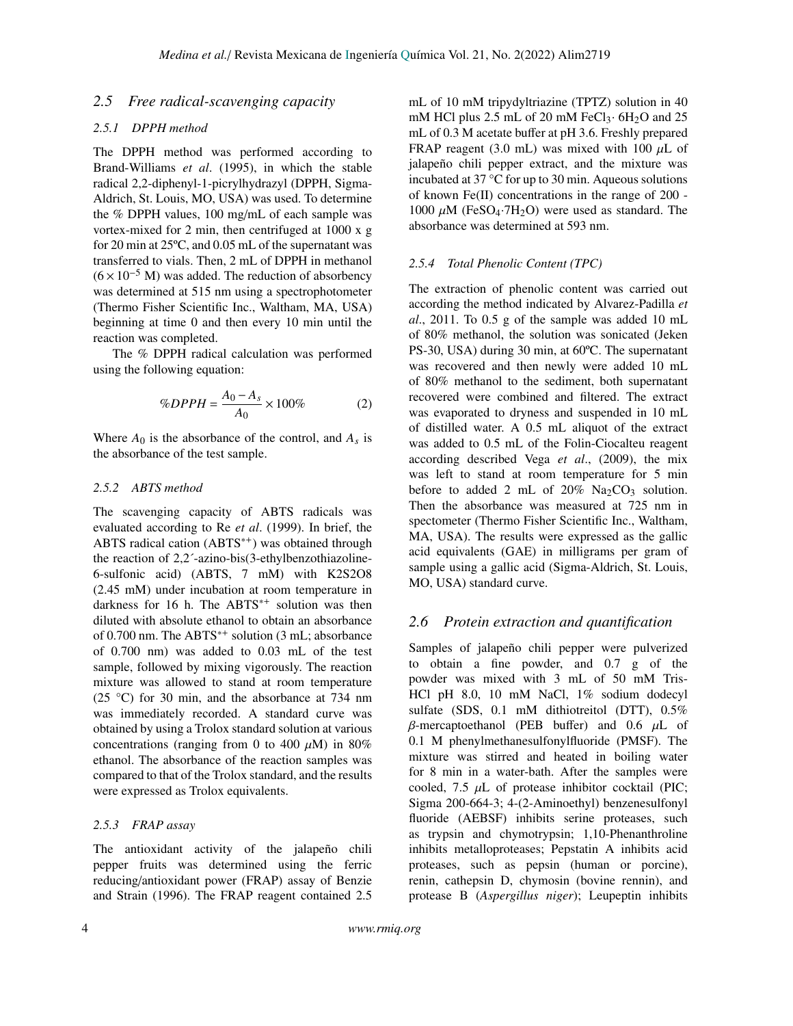## *2.5 Free radical-scavenging capacity*

### *2.5.1 DPPH method*

The DPPH method was performed according to Brand-Williams *et al*. (1995), in which the stable radical 2,2-diphenyl-1-picrylhydrazyl (DPPH, Sigma-Aldrich, St. Louis, MO, USA) was used. To determine the % DPPH values, 100 mg/mL of each sample was vortex-mixed for 2 min, then centrifuged at 1000 x g for 20 min at 25ºC, and 0.05 mL of the supernatant was transferred to vials. Then, 2 mL of DPPH in methanol  $(6 \times 10^{-5}$  M) was added. The reduction of absorbency was determined at 515 nm using a spectrophotometer (Thermo Fisher Scientific Inc., Waltham, MA, USA) beginning at time 0 and then every 10 min until the reaction was completed.

The % DPPH radical calculation was performed using the following equation:

$$
\%DPPH = \frac{A_0 - A_s}{A_0} \times 100\% \tag{2}
$$

Where  $A_0$  is the absorbance of the control, and  $A_s$  is the absorbance of the test sample.

#### *2.5.2 ABTS method*

The scavenging capacity of ABTS radicals was evaluated according to Re *et al*. (1999). In brief, the ABTS radical cation (ABTS<sup>\*+</sup>) was obtained through the reaction of 2,2´-azino-bis(3-ethylbenzothiazoline-6-sulfonic acid) (ABTS, 7 mM) with K2S2O8 (2.45 mM) under incubation at room temperature in darkness for 16 h. The ABTS<sup>\*+</sup> solution was then diluted with absolute ethanol to obtain an absorbance of 0.700 nm. The ABTS<sup>\*+</sup> solution (3 mL; absorbance of 0.700 nm) was added to 0.03 mL of the test sample, followed by mixing vigorously. The reaction mixture was allowed to stand at room temperature (25 °C) for 30 min, and the absorbance at 734 nm was immediately recorded. A standard curve was obtained by using a Trolox standard solution at various concentrations (ranging from 0 to 400  $\mu$ M) in 80% ethanol. The absorbance of the reaction samples was compared to that of the Trolox standard, and the results were expressed as Trolox equivalents.

#### *2.5.3 FRAP assay*

The antioxidant activity of the jalapeño chili pepper fruits was determined using the ferric reducing/antioxidant power (FRAP) assay of Benzie and Strain (1996). The FRAP reagent contained 2.5

mL of 10 mM tripydyltriazine (TPTZ) solution in 40 mM HCl plus 2.5 mL of 20 mM FeCl<sub>3</sub> $\cdot$  6H<sub>2</sub>O and 25 mL of 0.3 M acetate buffer at pH 3.6. Freshly prepared FRAP reagent (3.0 mL) was mixed with 100  $\mu$ L of jalapeño chili pepper extract, and the mixture was incubated at 37 °C for up to 30 min. Aqueous solutions of known Fe(II) concentrations in the range of 200 - 1000  $\mu$ M (FeSO<sub>4</sub>·7H<sub>2</sub>O) were used as standard. The absorbance was determined at 593 nm.

#### *2.5.4 Total Phenolic Content (TPC)*

The extraction of phenolic content was carried out according the method indicated by Alvarez-Padilla *et al*., 2011. To 0.5 g of the sample was added 10 mL of 80% methanol, the solution was sonicated (Jeken PS-30, USA) during 30 min, at 60ºC. The supernatant was recovered and then newly were added 10 mL of 80% methanol to the sediment, both supernatant recovered were combined and filtered. The extract was evaporated to dryness and suspended in 10 mL of distilled water. A 0.5 mL aliquot of the extract was added to 0.5 mL of the Folin-Ciocalteu reagent according described Vega *et al*., (2009), the mix was left to stand at room temperature for 5 min before to added 2 mL of  $20\%$  Na<sub>2</sub>CO<sub>3</sub> solution. Then the absorbance was measured at 725 nm in spectometer (Thermo Fisher Scientific Inc., Waltham, MA, USA). The results were expressed as the gallic acid equivalents (GAE) in milligrams per gram of sample using a gallic acid (Sigma-Aldrich, St. Louis, MO, USA) standard curve.

#### *2.6 Protein extraction and quantification*

Samples of jalapeño chili pepper were pulverized to obtain a fine powder, and 0.7 g of the powder was mixed with 3 mL of 50 mM Tris-HCl pH 8.0, 10 mM NaCl, 1% sodium dodecyl sulfate (SDS, 0.1 mM dithiotreitol (DTT), 0.5%  $β$ -mercaptoethanol (PEB buffer) and 0.6  $μ$ L of 0.1 M phenylmethanesulfonylfluoride (PMSF). The mixture was stirred and heated in boiling water for 8 min in a water-bath. After the samples were cooled, 7.5  $\mu$ L of protease inhibitor cocktail (PIC; Sigma 200-664-3; 4-(2-Aminoethyl) benzenesulfonyl fluoride (AEBSF) inhibits serine proteases, such as trypsin and chymotrypsin; 1,10-Phenanthroline inhibits metalloproteases; Pepstatin A inhibits acid proteases, such as pepsin (human or porcine), renin, cathepsin D, chymosin (bovine rennin), and protease B (*Aspergillus niger*); Leupeptin inhibits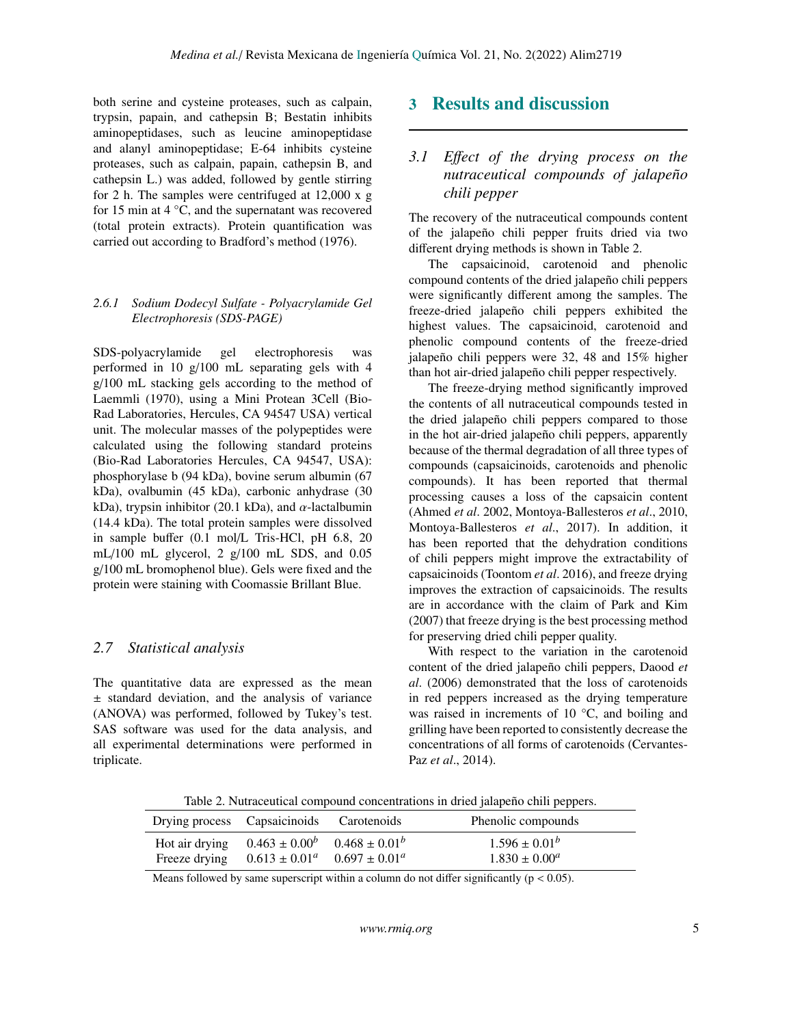both serine and cysteine proteases, such as calpain, trypsin, papain, and cathepsin B; Bestatin inhibits aminopeptidases, such as leucine aminopeptidase and alanyl aminopeptidase; E-64 inhibits cysteine proteases, such as calpain, papain, cathepsin B, and cathepsin L.) was added, followed by gentle stirring for 2 h. The samples were centrifuged at 12,000 x g for 15 min at 4 °C, and the supernatant was recovered (total protein extracts). Protein quantification was carried out according to Bradford's method (1976).

### *2.6.1 Sodium Dodecyl Sulfate - Polyacrylamide Gel Electrophoresis (SDS-PAGE)*

SDS-polyacrylamide gel electrophoresis was performed in 10 g/100 mL separating gels with 4 g/100 mL stacking gels according to the method of Laemmli (1970), using a Mini Protean 3Cell (Bio-Rad Laboratories, Hercules, CA 94547 USA) vertical unit. The molecular masses of the polypeptides were calculated using the following standard proteins (Bio-Rad Laboratories Hercules, CA 94547, USA): phosphorylase b (94 kDa), bovine serum albumin (67 kDa), ovalbumin (45 kDa), carbonic anhydrase (30 kDa), trypsin inhibitor (20.1 kDa), and  $\alpha$ -lactalbumin (14.4 kDa). The total protein samples were dissolved in sample buffer (0.1 mol/L Tris-HCl, pH 6.8, 20 mL/100 mL glycerol, 2 g/100 mL SDS, and 0.05 g/100 mL bromophenol blue). Gels were fixed and the protein were staining with Coomassie Brillant Blue.

### *2.7 Statistical analysis*

The quantitative data are expressed as the mean ± standard deviation, and the analysis of variance (ANOVA) was performed, followed by Tukey's test. SAS software was used for the data analysis, and all experimental determinations were performed in triplicate.

## 3 Results and discussion

## *3.1 E*ff*ect of the drying process on the nutraceutical compounds of jalapeño chili pepper*

The recovery of the nutraceutical compounds content of the jalapeño chili pepper fruits dried via two different drying methods is shown in Table 2.

The capsaicinoid, carotenoid and phenolic compound contents of the dried jalapeño chili peppers were significantly different among the samples. The freeze-dried jalapeño chili peppers exhibited the highest values. The capsaicinoid, carotenoid and phenolic compound contents of the freeze-dried jalapeño chili peppers were 32, 48 and 15% higher than hot air-dried jalapeño chili pepper respectively.

The freeze-drying method significantly improved the contents of all nutraceutical compounds tested in the dried jalapeño chili peppers compared to those in the hot air-dried jalapeño chili peppers, apparently because of the thermal degradation of all three types of compounds (capsaicinoids, carotenoids and phenolic compounds). It has been reported that thermal processing causes a loss of the capsaicin content (Ahmed *et al*. 2002, Montoya-Ballesteros *et al*., 2010, Montoya-Ballesteros *et al*., 2017). In addition, it has been reported that the dehydration conditions of chili peppers might improve the extractability of capsaicinoids (Toontom *et al*. 2016), and freeze drying improves the extraction of capsaicinoids. The results are in accordance with the claim of Park and Kim (2007) that freeze drying is the best processing method for preserving dried chili pepper quality.

With respect to the variation in the carotenoid content of the dried jalapeño chili peppers, Daood *et al*. (2006) demonstrated that the loss of carotenoids in red peppers increased as the drying temperature was raised in increments of 10 °C, and boiling and grilling have been reported to consistently decrease the concentrations of all forms of carotenoids (Cervantes-Paz *et al*., 2014).

Table 2. Nutraceutical compound concentrations in dried jalapeño chili peppers.

| Drying process Capsaicinoids Carotenoids |                                                      | Phenolic compounds |
|------------------------------------------|------------------------------------------------------|--------------------|
|                                          | Hot air drying $0.463 \pm 0.00^b$ $0.468 \pm 0.01^b$ | $1.596 \pm 0.01^b$ |
|                                          | Freeze drying $0.613 \pm 0.01^a$ $0.697 \pm 0.01^a$  | $1.830 \pm 0.00^a$ |

Means followed by same superscript within a column do not differ significantly ( $p < 0.05$ ).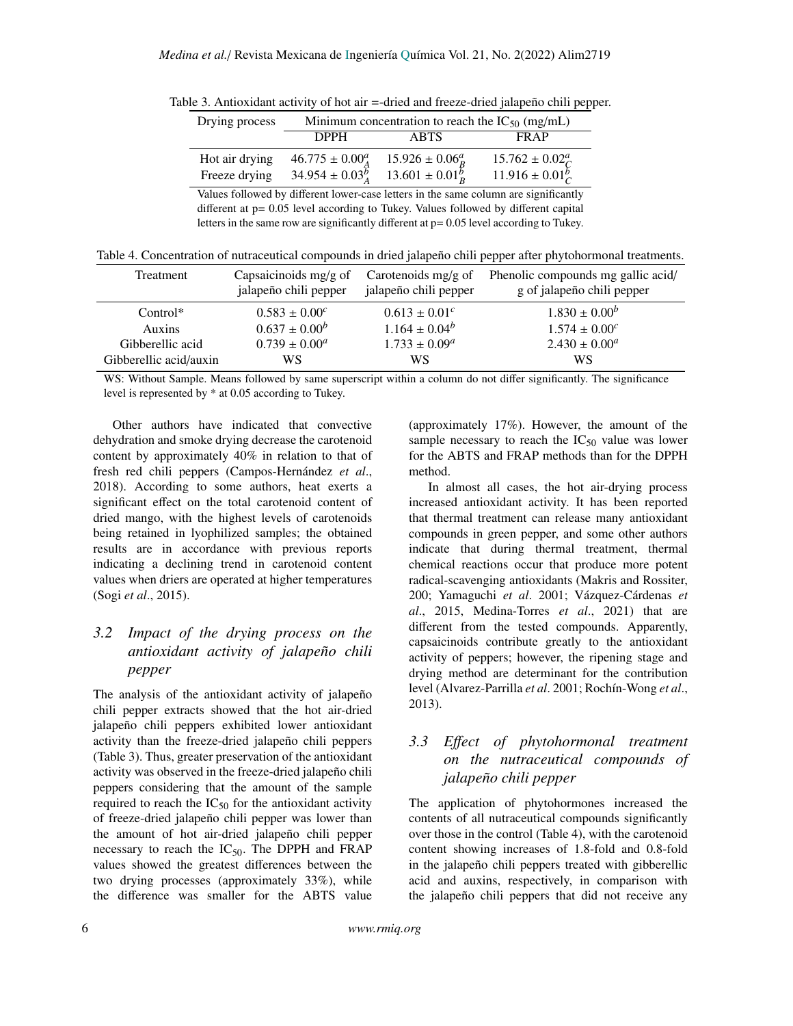| Drying process | Minimum concentration to reach the $IC_{50}$ (mg/mL) |                                                    |                                                |  |  |  |
|----------------|------------------------------------------------------|----------------------------------------------------|------------------------------------------------|--|--|--|
|                | <b>DPPH</b>                                          | <b>ABTS</b>                                        | FR AP                                          |  |  |  |
| Hot air drying | $46.775 \pm 0.00^a_A$<br>$34.954 \pm 0.03_{4}^{b}$   | $15.926 \pm 0.06^a_R$<br>$13.601 \pm 0.01_{B}^{B}$ | $15.762 \pm 0.02^a_C$<br>$11.916 \pm 0.01^b_C$ |  |  |  |
| Freeze drying  |                                                      |                                                    |                                                |  |  |  |

Table 3. Antioxidant activity of hot air =-dried and freeze-dried jalapeño chili pepper.

Values followed by different lower-case letters in the same column are significantly different at p= 0.05 level according to Tukey. Values followed by different capital letters in the same row are significantly different at  $p= 0.05$  level according to Tukey.

|  |  |  |  |  | Table 4. Concentration of nutraceutical compounds in dried jalapeño chili pepper after phytohormonal treatments. |
|--|--|--|--|--|------------------------------------------------------------------------------------------------------------------|
|  |  |  |  |  |                                                                                                                  |

| Treatment              | Capsaicinoids $mg/g$ of<br>jalapeño chili pepper | Carotenoids mg/g of<br>jalapeño chili pepper | Phenolic compounds mg gallic acid/<br>g of jalapeño chili pepper |
|------------------------|--------------------------------------------------|----------------------------------------------|------------------------------------------------------------------|
| $Control^*$            | $0.583 \pm 0.00^c$                               | $0.613 \pm 0.01^c$                           | $1.830 \pm 0.00^b$                                               |
| Auxins                 | $0.637 \pm 0.00^b$                               | $1.164 \pm 0.04^b$                           | $1.574 \pm 0.00^c$                                               |
| Gibberellic acid       | $0.739 \pm 0.00^a$                               | $1.733 \pm 0.09^a$                           | $2.430 \pm 0.00^a$                                               |
| Gibberellic acid/auxin | WS                                               | WS                                           | WS                                                               |

WS: Without Sample. Means followed by same superscript within a column do not differ significantly. The significance level is represented by \* at 0.05 according to Tukey.

Other authors have indicated that convective dehydration and smoke drying decrease the carotenoid content by approximately 40% in relation to that of fresh red chili peppers (Campos-Hernández *et al*., 2018). According to some authors, heat exerts a significant effect on the total carotenoid content of dried mango, with the highest levels of carotenoids being retained in lyophilized samples; the obtained results are in accordance with previous reports indicating a declining trend in carotenoid content values when driers are operated at higher temperatures (Sogi *et al*., 2015).

## *3.2 Impact of the drying process on the antioxidant activity of jalapeño chili pepper*

The analysis of the antioxidant activity of jalapeño chili pepper extracts showed that the hot air-dried jalapeño chili peppers exhibited lower antioxidant activity than the freeze-dried jalapeño chili peppers (Table 3). Thus, greater preservation of the antioxidant activity was observed in the freeze-dried jalapeño chili peppers considering that the amount of the sample required to reach the  $IC_{50}$  for the antioxidant activity of freeze-dried jalapeño chili pepper was lower than the amount of hot air-dried jalapeño chili pepper necessary to reach the  $IC_{50}$ . The DPPH and FRAP values showed the greatest differences between the two drying processes (approximately 33%), while the difference was smaller for the ABTS value

(approximately 17%). However, the amount of the sample necessary to reach the  $IC_{50}$  value was lower for the ABTS and FRAP methods than for the DPPH method.

In almost all cases, the hot air-drying process increased antioxidant activity. It has been reported that thermal treatment can release many antioxidant compounds in green pepper, and some other authors indicate that during thermal treatment, thermal chemical reactions occur that produce more potent radical-scavenging antioxidants (Makris and Rossiter, 200; Yamaguchi *et al*. 2001; Vázquez-Cárdenas *et al*., 2015, Medina-Torres *et al*., 2021) that are different from the tested compounds. Apparently, capsaicinoids contribute greatly to the antioxidant activity of peppers; however, the ripening stage and drying method are determinant for the contribution level (Alvarez-Parrilla *et al*. 2001; Rochín-Wong *et al*., 2013).

## *3.3 E*ff*ect of phytohormonal treatment on the nutraceutical compounds of jalapeño chili pepper*

The application of phytohormones increased the contents of all nutraceutical compounds significantly over those in the control (Table 4), with the carotenoid content showing increases of 1.8-fold and 0.8-fold in the jalapeño chili peppers treated with gibberellic acid and auxins, respectively, in comparison with the jalapeño chili peppers that did not receive any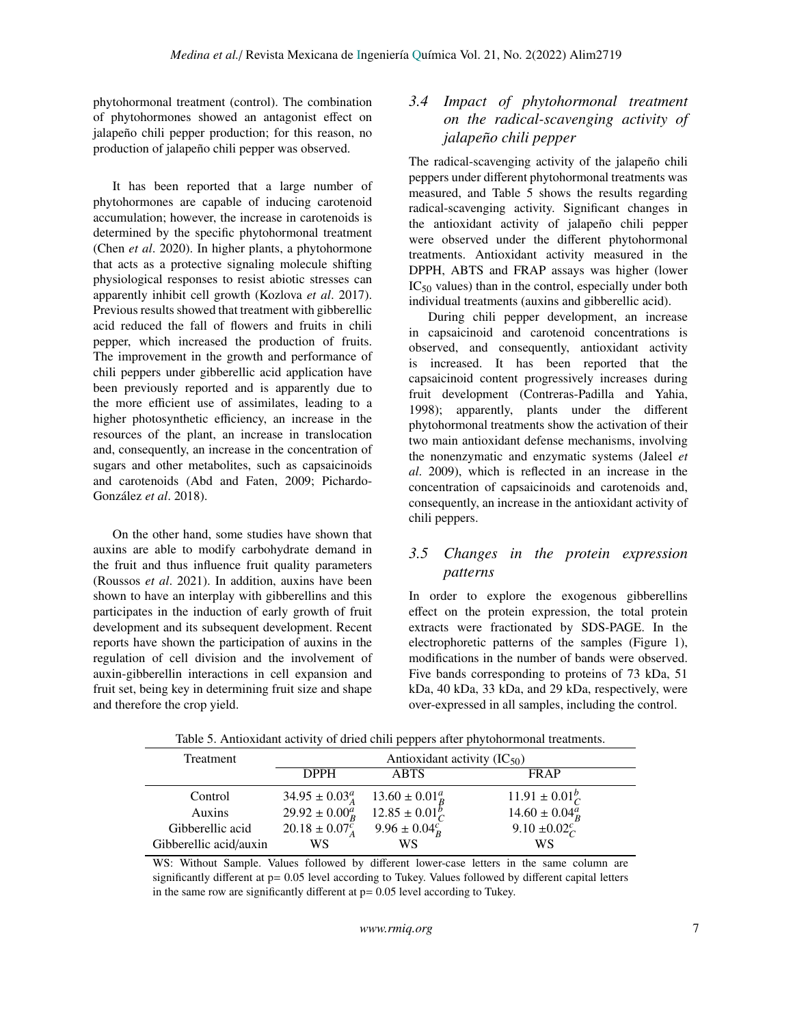phytohormonal treatment (control). The combination of phytohormones showed an antagonist effect on jalapeño chili pepper production; for this reason, no production of jalapeño chili pepper was observed.

It has been reported that a large number of phytohormones are capable of inducing carotenoid accumulation; however, the increase in carotenoids is determined by the specific phytohormonal treatment (Chen *et al*. 2020). In higher plants, a phytohormone that acts as a protective signaling molecule shifting physiological responses to resist abiotic stresses can apparently inhibit cell growth (Kozlova *et al*. 2017). Previous results showed that treatment with gibberellic acid reduced the fall of flowers and fruits in chili pepper, which increased the production of fruits. The improvement in the growth and performance of chili peppers under gibberellic acid application have been previously reported and is apparently due to the more efficient use of assimilates, leading to a higher photosynthetic efficiency, an increase in the resources of the plant, an increase in translocation and, consequently, an increase in the concentration of sugars and other metabolites, such as capsaicinoids and carotenoids (Abd and Faten, 2009; Pichardo-González *et al*. 2018).

On the other hand, some studies have shown that auxins are able to modify carbohydrate demand in the fruit and thus influence fruit quality parameters (Roussos *et al*. 2021). In addition, auxins have been shown to have an interplay with gibberellins and this participates in the induction of early growth of fruit development and its subsequent development. Recent reports have shown the participation of auxins in the regulation of cell division and the involvement of auxin-gibberellin interactions in cell expansion and fruit set, being key in determining fruit size and shape and therefore the crop yield.

## *3.4 Impact of phytohormonal treatment on the radical-scavenging activity of jalapeño chili pepper*

The radical-scavenging activity of the jalapeño chili peppers under different phytohormonal treatments was measured, and Table 5 shows the results regarding radical-scavenging activity. Significant changes in the antioxidant activity of jalapeño chili pepper were observed under the different phytohormonal treatments. Antioxidant activity measured in the DPPH, ABTS and FRAP assays was higher (lower  $IC_{50}$  values) than in the control, especially under both individual treatments (auxins and gibberellic acid).

During chili pepper development, an increase in capsaicinoid and carotenoid concentrations is observed, and consequently, antioxidant activity is increased. It has been reported that the capsaicinoid content progressively increases during fruit development (Contreras-Padilla and Yahia, 1998); apparently, plants under the different phytohormonal treatments show the activation of their two main antioxidant defense mechanisms, involving the nonenzymatic and enzymatic systems (Jaleel *et al*. 2009), which is reflected in an increase in the concentration of capsaicinoids and carotenoids and, consequently, an increase in the antioxidant activity of chili peppers.

## *3.5 Changes in the protein expression patterns*

In order to explore the exogenous gibberellins effect on the protein expression, the total protein extracts were fractionated by SDS-PAGE. In the electrophoretic patterns of the samples (Figure 1), modifications in the number of bands were observed. Five bands corresponding to proteins of 73 kDa, 51 kDa, 40 kDa, 33 kDa, and 29 kDa, respectively, were over-expressed in all samples, including the control.

| Treatment              | Antioxidant activity $(IC_{50})$ |                          |                          |  |  |
|------------------------|----------------------------------|--------------------------|--------------------------|--|--|
|                        | <b>DPPH</b>                      | <b>ABTS</b>              | FRAP                     |  |  |
| Control                | $34.95 \pm 0.03^a_A$             | $13.60 \pm 0.01^a_R$     | $11.91 \pm 0.01_{C}^{b}$ |  |  |
| Auxins                 | $29.92 \pm 0.00^a_R$             | $12.85 \pm 0.01_{C}^{b}$ | $14.60 \pm 0.04_R^a$     |  |  |
| Gibberellic acid       | $20.18 \pm 0.07^c_A$             | $9.96 \pm 0.04^c_R$      | 9.10 $\pm 0.02^c$        |  |  |
| Gibberellic acid/auxin | WS                               | WS                       | WS                       |  |  |

Table 5. Antioxidant activity of dried chili peppers after phytohormonal treatments.

WS: Without Sample. Values followed by different lower-case letters in the same column are significantly different at p= 0.05 level according to Tukey. Values followed by different capital letters in the same row are significantly different at  $p = 0.05$  level according to Tukey.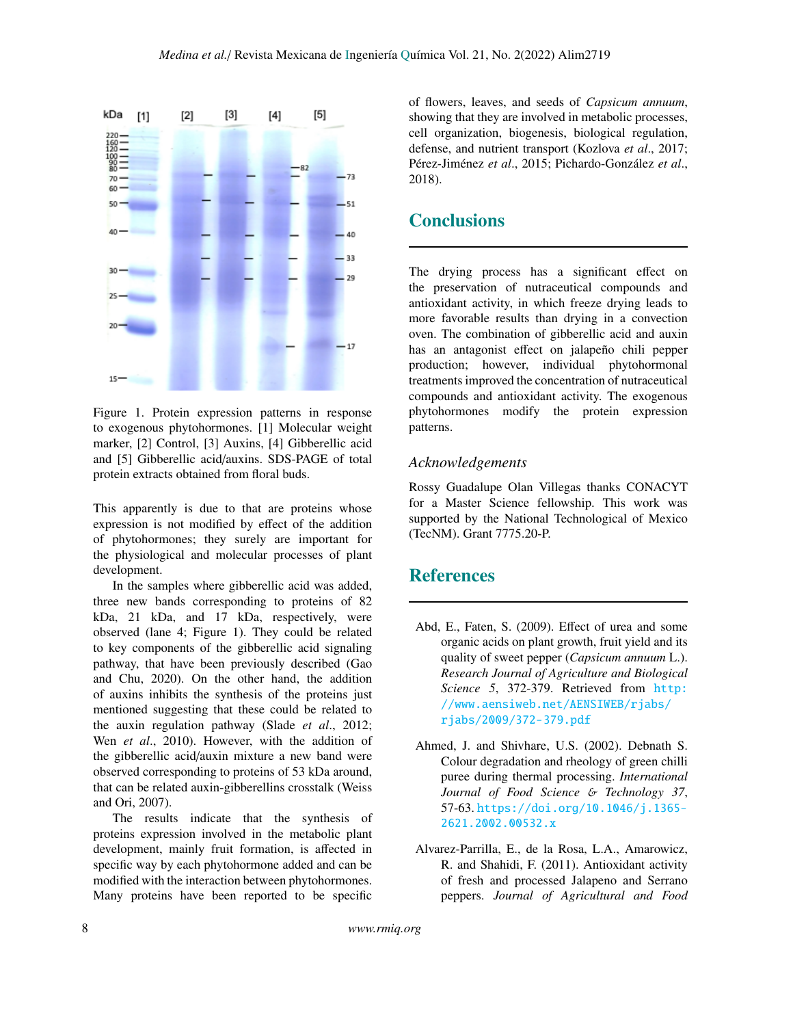

Figure 1. Protein expression patterns in response to exogenous phytohormones. [1] Molecular weight marker, [2] Control, [3] Auxins, [4] Gibberellic acid and [5] Gibberellic acid/auxins. SDS-PAGE of total protein extracts obtained from floral buds.

This apparently is due to that are proteins whose expression is not modified by effect of the addition of phytohormones; they surely are important for the physiological and molecular processes of plant development.

In the samples where gibberellic acid was added, three new bands corresponding to proteins of 82 kDa, 21 kDa, and 17 kDa, respectively, were observed (lane 4; Figure 1). They could be related to key components of the gibberellic acid signaling pathway, that have been previously described (Gao and Chu, 2020). On the other hand, the addition of auxins inhibits the synthesis of the proteins just mentioned suggesting that these could be related to the auxin regulation pathway (Slade *et al*., 2012; Wen *et al*., 2010). However, with the addition of the gibberellic acid/auxin mixture a new band were observed corresponding to proteins of 53 kDa around, that can be related auxin-gibberellins crosstalk (Weiss and Ori, 2007).

The results indicate that the synthesis of proteins expression involved in the metabolic plant development, mainly fruit formation, is affected in specific way by each phytohormone added and can be modified with the interaction between phytohormones. Many proteins have been reported to be specific

of flowers, leaves, and seeds of *Capsicum annuum*, showing that they are involved in metabolic processes, cell organization, biogenesis, biological regulation, defense, and nutrient transport (Kozlova *et al*., 2017; Pérez-Jiménez *et al*., 2015; Pichardo-González *et al*., 2018).

# **Conclusions**

The drying process has a significant effect on the preservation of nutraceutical compounds and antioxidant activity, in which freeze drying leads to more favorable results than drying in a convection oven. The combination of gibberellic acid and auxin has an antagonist effect on jalapeño chili pepper production; however, individual phytohormonal treatments improved the concentration of nutraceutical compounds and antioxidant activity. The exogenous phytohormones modify the protein expression patterns.

## *Acknowledgements*

Rossy Guadalupe Olan Villegas thanks CONACYT for a Master Science fellowship. This work was supported by the National Technological of Mexico (TecNM). Grant 7775.20-P.

# References

- Abd, E., Faten, S. (2009). Effect of urea and some organic acids on plant growth, fruit yield and its quality of sweet pepper (*Capsicum annuum* L.). *Research Journal of Agriculture and Biological Science 5*, 372-379. Retrieved from [http:](http://www.aensiweb.net/AENSIWEB/rjabs/rjabs/2009/372-379.pdf) [//www.aensiweb.net/AENSIWEB/rjabs/](http://www.aensiweb.net/AENSIWEB/rjabs/rjabs/2009/372-379.pdf) [rjabs/2009/372-379.pdf](http://www.aensiweb.net/AENSIWEB/rjabs/rjabs/2009/372-379.pdf)
- Ahmed, J. and Shivhare, U.S. (2002). Debnath S. Colour degradation and rheology of green chilli puree during thermal processing. *International Journal of Food Science* & *Technology 37*, 57-63. [https://doi.org/10.1046/j.1365-](https://doi.org/10.1046/j.1365-2621.2002.00532.x) [2621.2002.00532.x](https://doi.org/10.1046/j.1365-2621.2002.00532.x)
- Alvarez-Parrilla, E., de la Rosa, L.A., Amarowicz, R. and Shahidi, F. (2011). Antioxidant activity of fresh and processed Jalapeno and Serrano peppers. *Journal of Agricultural and Food*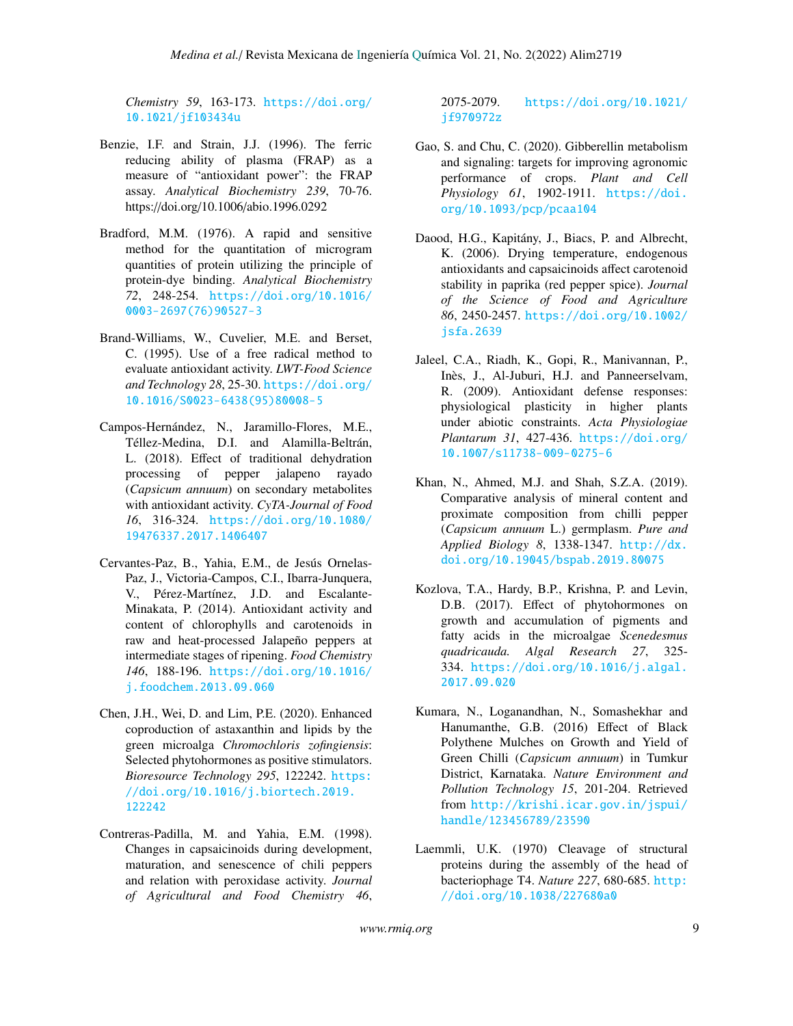*Chemistry 59*, 163-173. [https://doi.org/](https://doi.org/10.1021/jf103434u) [10.1021/jf103434u](https://doi.org/10.1021/jf103434u)

- Benzie, I.F. and Strain, J.J. (1996). The ferric reducing ability of plasma (FRAP) as a measure of "antioxidant power": the FRAP assay. *Analytical Biochemistry 239*, 70-76. https://doi.org/10.1006/abio.1996.0292
- Bradford, M.M. (1976). A rapid and sensitive method for the quantitation of microgram quantities of protein utilizing the principle of protein-dye binding. *Analytical Biochemistry 72*, 248-254. [https://doi.org/10.1016/](https://doi.org/10.1016/0003-2697(76)90527-3) [0003-2697\(76\)90527-3](https://doi.org/10.1016/0003-2697(76)90527-3)
- Brand-Williams, W., Cuvelier, M.E. and Berset, C. (1995). Use of a free radical method to evaluate antioxidant activity. *LWT-Food Science and Technology 28*, 25-30. [https://doi.org/](https://doi.org/10.1016/S0023-6438(95)80008-5) [10.1016/S0023-6438\(95\)80008-5](https://doi.org/10.1016/S0023-6438(95)80008-5)
- Campos-Hernández, N., Jaramillo-Flores, M.E., Téllez-Medina, D.I. and Alamilla-Beltrán, L. (2018). Effect of traditional dehydration processing of pepper jalapeno rayado (*Capsicum annuum*) on secondary metabolites with antioxidant activity. *CyTA-Journal of Food 16*, 316-324. [https://doi.org/10.1080/](https://doi.org/10.1080/19476337.2017.1406407) [19476337.2017.1406407](https://doi.org/10.1080/19476337.2017.1406407)
- Cervantes-Paz, B., Yahia, E.M., de Jesús Ornelas-Paz, J., Victoria-Campos, C.I., Ibarra-Junquera, V., Pérez-Martínez, J.D. and Escalante-Minakata, P. (2014). Antioxidant activity and content of chlorophylls and carotenoids in raw and heat-processed Jalapeño peppers at intermediate stages of ripening. *Food Chemistry 146*, 188-196. [https://doi.org/10.1016/](https://doi.org/10.1016/j.foodchem.2013.09.060) [j.foodchem.2013.09.060](https://doi.org/10.1016/j.foodchem.2013.09.060)
- Chen, J.H., Wei, D. and Lim, P.E. (2020). Enhanced coproduction of astaxanthin and lipids by the green microalga *Chromochloris zofingiensis*: Selected phytohormones as positive stimulators. *Bioresource Technology 295*, 122242. [https:](https://doi.org/10.1016/j.biortech.2019.122242) [//doi.org/10.1016/j.biortech.2019.](https://doi.org/10.1016/j.biortech.2019.122242) [122242](https://doi.org/10.1016/j.biortech.2019.122242)
- Contreras-Padilla, M. and Yahia, E.M. (1998). Changes in capsaicinoids during development, maturation, and senescence of chili peppers and relation with peroxidase activity. *Journal of Agricultural and Food Chemistry 46*,

2075-2079. [https://doi.org/10.1021/](https://doi.org/10.1021/jf970972z) [jf970972z](https://doi.org/10.1021/jf970972z)

- Gao, S. and Chu, C. (2020). Gibberellin metabolism and signaling: targets for improving agronomic performance of crops. *Plant and Cell Physiology 61*, 1902-1911. [https://doi.](https://doi.org/10.1093/pcp/pcaa104) [org/10.1093/pcp/pcaa104](https://doi.org/10.1093/pcp/pcaa104)
- Daood, H.G., Kapitány, J., Biacs, P. and Albrecht, K. (2006). Drying temperature, endogenous antioxidants and capsaicinoids affect carotenoid stability in paprika (red pepper spice). *Journal of the Science of Food and Agriculture 86*, 2450-2457. [https://doi.org/10.1002/](https://doi.org/10.1002/jsfa.2639) [jsfa.2639](https://doi.org/10.1002/jsfa.2639)
- Jaleel, C.A., Riadh, K., Gopi, R., Manivannan, P., Inès, J., Al-Juburi, H.J. and Panneerselvam, R. (2009). Antioxidant defense responses: physiological plasticity in higher plants under abiotic constraints. *Acta Physiologiae Plantarum 31*, 427-436. [https://doi.org/](https://doi.org/10.1007/s11738-009-0275-6) [10.1007/s11738-009-0275-6](https://doi.org/10.1007/s11738-009-0275-6)
- Khan, N., Ahmed, M.J. and Shah, S.Z.A. (2019). Comparative analysis of mineral content and proximate composition from chilli pepper (*Capsicum annuum* L.) germplasm. *Pure and Applied Biology 8*, 1338-1347. [http://dx.](http://dx.doi.org/10.19045/bspab.2019.80075) [doi.org/10.19045/bspab.2019.80075](http://dx.doi.org/10.19045/bspab.2019.80075)
- Kozlova, T.A., Hardy, B.P., Krishna, P. and Levin, D.B. (2017). Effect of phytohormones on growth and accumulation of pigments and fatty acids in the microalgae *Scenedesmus quadricauda. Algal Research 27*, 325- 334. [https://doi.org/10.1016/j.algal.](https://doi.org/10.1016/j.algal.2017.09.020) [2017.09.020](https://doi.org/10.1016/j.algal.2017.09.020)
- Kumara, N., Loganandhan, N., Somashekhar and Hanumanthe, G.B. (2016) Effect of Black Polythene Mulches on Growth and Yield of Green Chilli (*Capsicum annuum*) in Tumkur District, Karnataka. *Nature Environment and Pollution Technology 15*, 201-204. Retrieved from [http://krishi.icar.gov.in/jspui/](http://krishi.icar.gov.in/jspui/handle/123456789/23590) [handle/123456789/23590](http://krishi.icar.gov.in/jspui/handle/123456789/23590)
- Laemmli, U.K. (1970) Cleavage of structural proteins during the assembly of the head of bacteriophage T4. *Nature 227*, 680-685. [http:](http://doi.org/10.1038/227680a0) [//doi.org/10.1038/227680a0](http://doi.org/10.1038/227680a0)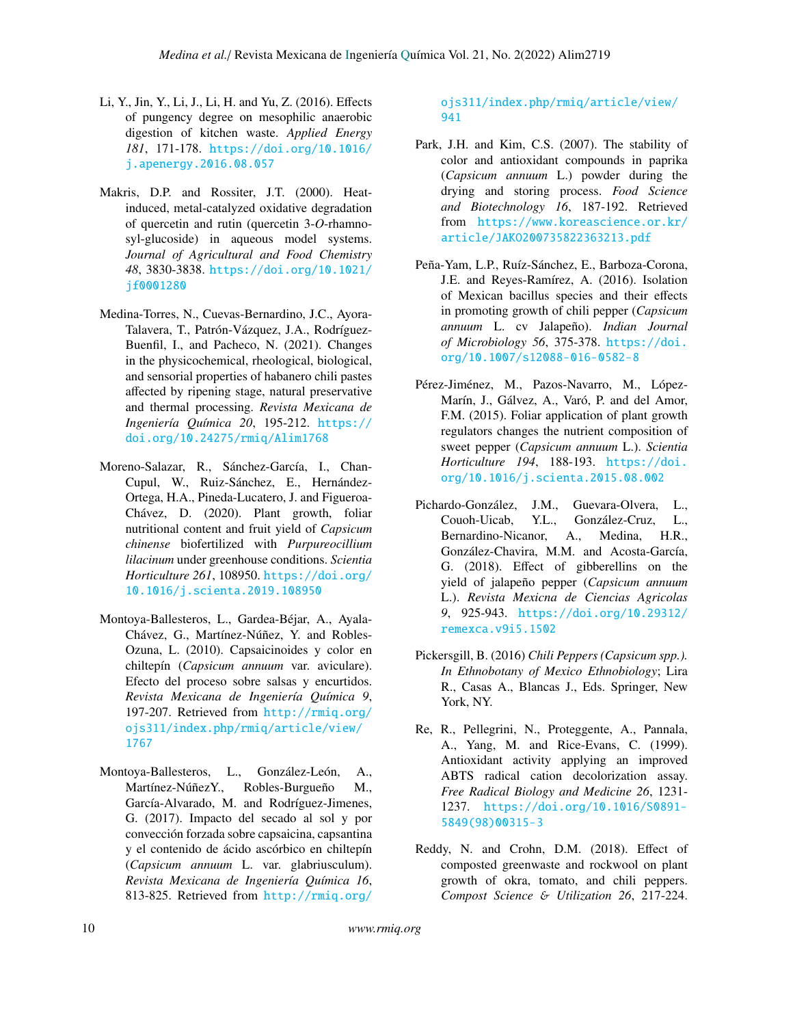- Li, Y., Jin, Y., Li, J., Li, H. and Yu, Z. (2016). Effects of pungency degree on mesophilic anaerobic digestion of kitchen waste. *Applied Energy 181*, 171-178. [https://doi.org/10.1016/](https://doi.org/10.1016/j.apenergy.2016.08.057) [j.apenergy.2016.08.057](https://doi.org/10.1016/j.apenergy.2016.08.057)
- Makris, D.P. and Rossiter, J.T. (2000). Heatinduced, metal-catalyzed oxidative degradation of quercetin and rutin (quercetin 3-*O*-rhamnosyl-glucoside) in aqueous model systems. *Journal of Agricultural and Food Chemistry 48*, 3830-3838. [https://doi.org/10.1021/](https://doi.org/10.1021/jf0001280) [jf0001280](https://doi.org/10.1021/jf0001280)
- Medina-Torres, N., Cuevas-Bernardino, J.C., Ayora-Talavera, T., Patrón-Vázquez, J.A., Rodríguez-Buenfil, I., and Pacheco, N. (2021). Changes in the physicochemical, rheological, biological, and sensorial properties of habanero chili pastes affected by ripening stage, natural preservative and thermal processing. *Revista Mexicana de Ingeniería Química 20*, 195-212. [https://](https://doi.org/10.24275/rmiq/Alim1768 ) [doi.org/10.24275/rmiq/Alim1768](https://doi.org/10.24275/rmiq/Alim1768 )
- Moreno-Salazar, R., Sánchez-García, I., Chan-Cupul, W., Ruiz-Sánchez, E., Hernández-Ortega, H.A., Pineda-Lucatero, J. and Figueroa-Chávez, D. (2020). Plant growth, foliar nutritional content and fruit yield of *Capsicum chinense* biofertilized with *Purpureocillium lilacinum* under greenhouse conditions. *Scientia Horticulture 261*, 108950. [https://doi.org/](https://doi.org/10.1016/j.scienta.2019.108950) [10.1016/j.scienta.2019.108950](https://doi.org/10.1016/j.scienta.2019.108950)
- Montoya-Ballesteros, L., Gardea-Béjar, A., Ayala-Chávez, G., Martínez-Núñez, Y. and Robles-Ozuna, L. (2010). Capsaicinoides y color en chiltepín (*Capsicum annuum* var. aviculare). Efecto del proceso sobre salsas y encurtidos. *Revista Mexicana de Ingeniería Química 9*, 197-207. Retrieved from [http://rmiq.org/](http://rmiq.org/ojs311/index.php/rmiq/article/view/1767) [ojs311/index.php/rmiq/article/view/](http://rmiq.org/ojs311/index.php/rmiq/article/view/1767) [1767](http://rmiq.org/ojs311/index.php/rmiq/article/view/1767)
- Montoya-Ballesteros, L., González-León, A., Martínez-NúñezY., Robles-Burgueño M., García-Alvarado, M. and Rodríguez-Jimenes, G. (2017). Impacto del secado al sol y por convección forzada sobre capsaicina, capsantina y el contenido de ácido ascórbico en chiltepín (*Capsicum annuum* L. var. glabriusculum). *Revista Mexicana de Ingeniería Química 16*, 813-825. Retrieved from [http://rmiq.org/](http://rmiq.org/ojs311/index.php/rmiq/article/view/941)

### [ojs311/index.php/rmiq/article/view/](http://rmiq.org/ojs311/index.php/rmiq/article/view/941) [941](http://rmiq.org/ojs311/index.php/rmiq/article/view/941)

- Park, J.H. and Kim, C.S. (2007). The stability of color and antioxidant compounds in paprika (*Capsicum annuum* L.) powder during the drying and storing process. *Food Science and Biotechnology 16*, 187-192. Retrieved from [https://www.koreascience.or.kr/](https://www.koreascience.or.kr/article/JAKO200735822363213.pdf ) [article/JAKO200735822363213.pdf](https://www.koreascience.or.kr/article/JAKO200735822363213.pdf )
- Peña-Yam, L.P., Ruíz-Sánchez, E., Barboza-Corona, J.E. and Reyes-Ramírez, A. (2016). Isolation of Mexican bacillus species and their effects in promoting growth of chili pepper (*Capsicum annuum* L. cv Jalapeño). *Indian Journal of Microbiology 56*, 375-378. [https://doi.](https://doi.org/10.1007/s12088-016-0582-8) [org/10.1007/s12088-016-0582-8](https://doi.org/10.1007/s12088-016-0582-8)
- Pérez-Jiménez, M., Pazos-Navarro, M., López-Marín, J., Gálvez, A., Varó, P. and del Amor, F.M. (2015). Foliar application of plant growth regulators changes the nutrient composition of sweet pepper (*Capsicum annuum* L.). *Scientia Horticulture 194*, 188-193. [https://doi.](https://doi.org/10.1016/j.scienta.2015.08.002) [org/10.1016/j.scienta.2015.08.002](https://doi.org/10.1016/j.scienta.2015.08.002)
- Pichardo-González, J.M., Guevara-Olvera, L., Couoh-Uicab, Y.L., González-Cruz, L., Bernardino-Nicanor, A., Medina, H.R., González-Chavira, M.M. and Acosta-García, G. (2018). Effect of gibberellins on the yield of jalapeño pepper (*Capsicum annuum* L.). *Revista Mexicna de Ciencias Agricolas 9*, 925-943. [https://doi.org/10.29312/](https://doi.org/10.29312/remexca.v9i5.1502) [remexca.v9i5.1502](https://doi.org/10.29312/remexca.v9i5.1502)
- Pickersgill, B. (2016) *Chili Peppers (Capsicum spp.). In Ethnobotany of Mexico Ethnobiology*; Lira R., Casas A., Blancas J., Eds. Springer, New York, NY.
- Re, R., Pellegrini, N., Proteggente, A., Pannala, A., Yang, M. and Rice-Evans, C. (1999). Antioxidant activity applying an improved ABTS radical cation decolorization assay. *Free Radical Biology and Medicine 26*, 1231- 1237. [https://doi.org/10.1016/S0891-](https://doi.org/10.1016/S0891-5849(98)00315-3) [5849\(98\)00315-3](https://doi.org/10.1016/S0891-5849(98)00315-3)
- Reddy, N. and Crohn, D.M. (2018). Effect of composted greenwaste and rockwool on plant growth of okra, tomato, and chili peppers. *Compost Science* & *Utilization 26*, 217-224.